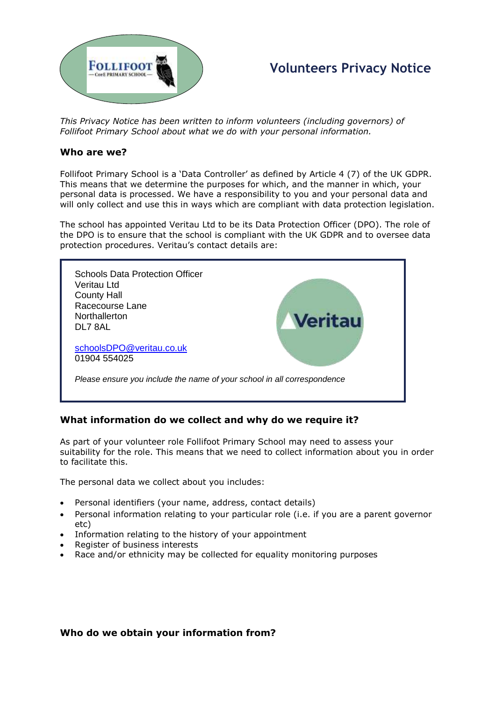

# **Volunteers Privacy Notice**

*This Privacy Notice has been written to inform volunteers (including governors) of Follifoot Primary School about what we do with your personal information.* 

#### **Who are we?**

Follifoot Primary School is a 'Data Controller' as defined by Article 4 (7) of the UK GDPR. This means that we determine the purposes for which, and the manner in which, your personal data is processed. We have a responsibility to you and your personal data and will only collect and use this in ways which are compliant with data protection legislation.

The school has appointed Veritau Ltd to be its Data Protection Officer (DPO). The role of the DPO is to ensure that the school is compliant with the UK GDPR and to oversee data protection procedures. Veritau's contact details are:



## **What information do we collect and why do we require it?**

As part of your volunteer role Follifoot Primary School may need to assess your suitability for the role. This means that we need to collect information about you in order to facilitate this.

The personal data we collect about you includes:

- Personal identifiers (your name, address, contact details)
- Personal information relating to your particular role (i.e. if you are a parent governor etc)
- Information relating to the history of your appointment
- Register of business interests
- Race and/or ethnicity may be collected for equality monitoring purposes

## **Who do we obtain your information from?**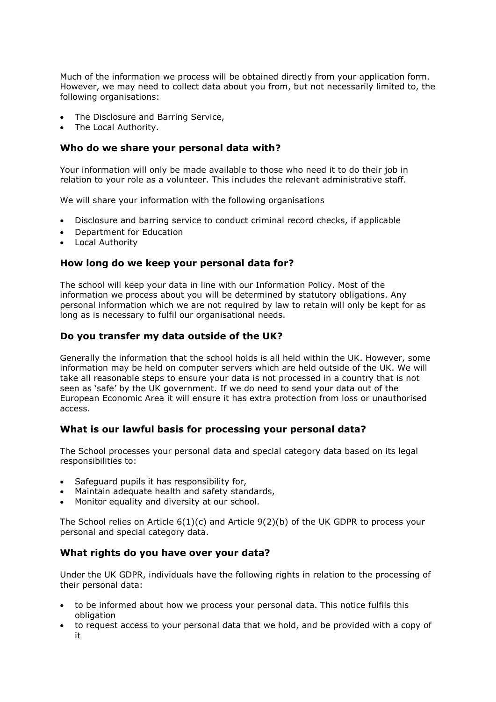Much of the information we process will be obtained directly from your application form. However, we may need to collect data about you from, but not necessarily limited to, the following organisations:

- The Disclosure and Barring Service,
- The Local Authority.

## **Who do we share your personal data with?**

Your information will only be made available to those who need it to do their job in relation to your role as a volunteer. This includes the relevant administrative staff.

We will share your information with the following organisations

- Disclosure and barring service to conduct criminal record checks, if applicable
- Department for Education
- Local Authority

## **How long do we keep your personal data for?**

The school will keep your data in line with our Information Policy. Most of the information we process about you will be determined by statutory obligations. Any personal information which we are not required by law to retain will only be kept for as long as is necessary to fulfil our organisational needs.

## **Do you transfer my data outside of the UK?**

Generally the information that the school holds is all held within the UK. However, some information may be held on computer servers which are held outside of the UK. We will take all reasonable steps to ensure your data is not processed in a country that is not seen as 'safe' by the UK government. If we do need to send your data out of the European Economic Area it will ensure it has extra protection from loss or unauthorised access.

## **What is our lawful basis for processing your personal data?**

The School processes your personal data and special category data based on its legal responsibilities to:

- Safeguard pupils it has responsibility for,
- Maintain adequate health and safety standards,
- Monitor equality and diversity at our school.

The School relies on Article  $6(1)(c)$  and Article  $9(2)(b)$  of the UK GDPR to process your personal and special category data.

## **What rights do you have over your data?**

Under the UK GDPR, individuals have the following rights in relation to the processing of their personal data:

- to be informed about how we process your personal data. This notice fulfils this obligation
- to request access to your personal data that we hold, and be provided with a copy of it